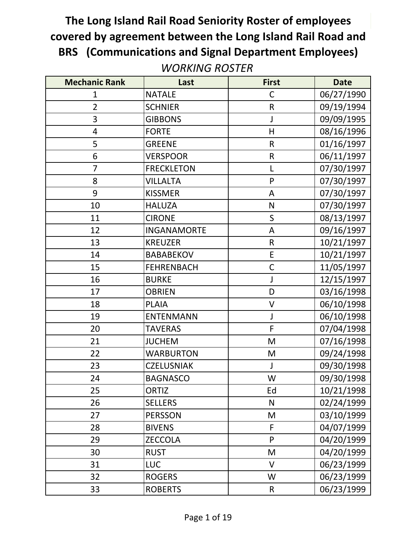| <b>Mechanic Rank</b> | Last               | <b>First</b> | <b>Date</b> |
|----------------------|--------------------|--------------|-------------|
| 1                    | <b>NATALE</b>      | $\mathsf C$  | 06/27/1990  |
| $\overline{2}$       | <b>SCHNIER</b>     | $\mathsf R$  | 09/19/1994  |
| 3                    | <b>GIBBONS</b>     |              | 09/09/1995  |
| 4                    | <b>FORTE</b>       | H            | 08/16/1996  |
| 5                    | <b>GREENE</b>      | $\mathsf R$  | 01/16/1997  |
| 6                    | <b>VERSPOOR</b>    | $\mathsf R$  | 06/11/1997  |
| 7                    | <b>FRECKLETON</b>  |              | 07/30/1997  |
| 8                    | <b>VILLALTA</b>    | P            | 07/30/1997  |
| 9                    | <b>KISSMER</b>     | A            | 07/30/1997  |
| 10                   | <b>HALUZA</b>      | N            | 07/30/1997  |
| 11                   | <b>CIRONE</b>      | S            | 08/13/1997  |
| 12                   | <b>INGANAMORTE</b> | A            | 09/16/1997  |
| 13                   | <b>KREUZER</b>     | $\mathsf{R}$ | 10/21/1997  |
| 14                   | <b>BABABEKOV</b>   | E            | 10/21/1997  |
| 15                   | <b>FEHRENBACH</b>  | $\mathsf{C}$ | 11/05/1997  |
| 16                   | <b>BURKE</b>       | J            | 12/15/1997  |
| 17                   | <b>OBRIEN</b>      | D            | 03/16/1998  |
| 18                   | <b>PLAIA</b>       | V            | 06/10/1998  |
| 19                   | <b>ENTENMANN</b>   | J            | 06/10/1998  |
| 20                   | <b>TAVERAS</b>     | $\mathsf F$  | 07/04/1998  |
| 21                   | <b>JUCHEM</b>      | M            | 07/16/1998  |
| 22                   | <b>WARBURTON</b>   | M            | 09/24/1998  |
| 23                   | <b>CZELUSNIAK</b>  | J            | 09/30/1998  |
| 24                   | <b>BAGNASCO</b>    | W            | 09/30/1998  |
| 25                   | ORTIZ              | Ed           | 10/21/1998  |
| 26                   | <b>SELLERS</b>     | N            | 02/24/1999  |
| 27                   | <b>PERSSON</b>     | M            | 03/10/1999  |
| 28                   | <b>BIVENS</b>      | F            | 04/07/1999  |
| 29                   | <b>ZECCOLA</b>     | P            | 04/20/1999  |
| 30                   | <b>RUST</b>        | M            | 04/20/1999  |
| 31                   | <b>LUC</b>         | V            | 06/23/1999  |
| 32                   | <b>ROGERS</b>      | W            | 06/23/1999  |
| 33                   | <b>ROBERTS</b>     | R            | 06/23/1999  |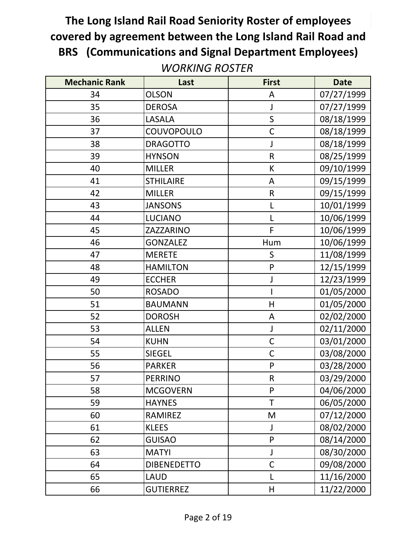| <b>Mechanic Rank</b> | Last               | <b>First</b>                                                                                               | <b>Date</b> |
|----------------------|--------------------|------------------------------------------------------------------------------------------------------------|-------------|
| 34                   | <b>OLSON</b>       | A                                                                                                          | 07/27/1999  |
| 35                   | <b>DEROSA</b>      | J                                                                                                          | 07/27/1999  |
| 36                   | LASALA             | $\mathsf S$                                                                                                | 08/18/1999  |
| 37                   | COUVOPOULO         | $\mathsf{C}$                                                                                               | 08/18/1999  |
| 38                   | <b>DRAGOTTO</b>    | J                                                                                                          | 08/18/1999  |
| 39                   | <b>HYNSON</b>      | $\mathsf R$                                                                                                | 08/25/1999  |
| 40                   | <b>MILLER</b>      | К                                                                                                          | 09/10/1999  |
| 41                   | <b>STHILAIRE</b>   | A                                                                                                          | 09/15/1999  |
| 42                   | <b>MILLER</b>      | ${\sf R}$                                                                                                  | 09/15/1999  |
| 43                   | <b>JANSONS</b>     | L                                                                                                          | 10/01/1999  |
| 44                   | <b>LUCIANO</b>     | $\mathsf{L}$                                                                                               | 10/06/1999  |
| 45                   | ZAZZARINO          | F                                                                                                          | 10/06/1999  |
| 46                   | <b>GONZALEZ</b>    | Hum                                                                                                        | 10/06/1999  |
| 47                   | <b>MERETE</b>      | S                                                                                                          | 11/08/1999  |
| 48                   | <b>HAMILTON</b>    | P                                                                                                          | 12/15/1999  |
| 49                   | <b>ECCHER</b>      | $\mathsf J$                                                                                                | 12/23/1999  |
| 50                   | <b>ROSADO</b>      |                                                                                                            | 01/05/2000  |
| 51                   | <b>BAUMANN</b>     | H                                                                                                          | 01/05/2000  |
| 52                   | <b>DOROSH</b>      | A                                                                                                          | 02/02/2000  |
| 53                   | <b>ALLEN</b>       | J                                                                                                          | 02/11/2000  |
| 54                   | <b>KUHN</b>        | $\mathsf C$                                                                                                | 03/01/2000  |
| 55                   | <b>SIEGEL</b>      | $\mathsf C$                                                                                                | 03/08/2000  |
| 56                   | <b>PARKER</b>      | P                                                                                                          | 03/28/2000  |
| 57                   | <b>PERRINO</b>     | ${\sf R}$                                                                                                  | 03/29/2000  |
| 58                   | <b>MCGOVERN</b>    | P                                                                                                          | 04/06/2000  |
| 59                   | <b>HAYNES</b>      | $\mathsf T$                                                                                                | 06/05/2000  |
| 60                   | RAMIREZ            | $\mathsf{M}% _{T}=\mathsf{M}_{T}\!\left( a,b\right) ,\ \mathsf{M}_{T}=\mathsf{M}_{T}\!\left( a,b\right) ,$ | 07/12/2000  |
| 61                   | <b>KLEES</b>       | J                                                                                                          | 08/02/2000  |
| 62                   | <b>GUISAO</b>      | ${\sf P}$                                                                                                  | 08/14/2000  |
| 63                   | <b>MATYI</b>       | J                                                                                                          | 08/30/2000  |
| 64                   | <b>DIBENEDETTO</b> | $\mathsf{C}$                                                                                               | 09/08/2000  |
| 65                   | <b>LAUD</b>        | L                                                                                                          | 11/16/2000  |
| 66                   | <b>GUTIERREZ</b>   | H                                                                                                          | 11/22/2000  |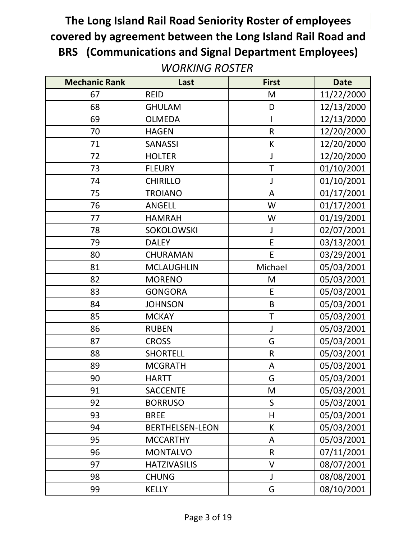| <b>Mechanic Rank</b> | Last                   | <b>First</b> | <b>Date</b> |
|----------------------|------------------------|--------------|-------------|
| 67                   | <b>REID</b>            | M            | 11/22/2000  |
| 68                   | <b>GHULAM</b>          | D            | 12/13/2000  |
| 69                   | <b>OLMEDA</b>          |              | 12/13/2000  |
| 70                   | <b>HAGEN</b>           | $\mathsf R$  | 12/20/2000  |
| 71                   | <b>SANASSI</b>         | K            | 12/20/2000  |
| 72                   | <b>HOLTER</b>          | J            | 12/20/2000  |
| 73                   | <b>FLEURY</b>          | $\mathsf T$  | 01/10/2001  |
| 74                   | <b>CHIRILLO</b>        | J            | 01/10/2001  |
| 75                   | <b>TROIANO</b>         | $\mathsf{A}$ | 01/17/2001  |
| 76                   | <b>ANGELL</b>          | W            | 01/17/2001  |
| 77                   | <b>HAMRAH</b>          | W            | 01/19/2001  |
| 78                   | <b>SOKOLOWSKI</b>      | J            | 02/07/2001  |
| 79                   | <b>DALEY</b>           | E            | 03/13/2001  |
| 80                   | CHURAMAN               | E            | 03/29/2001  |
| 81                   | <b>MCLAUGHLIN</b>      | Michael      | 05/03/2001  |
| 82                   | <b>MORENO</b>          | M            | 05/03/2001  |
| 83                   | <b>GONGORA</b>         | E            | 05/03/2001  |
| 84                   | <b>JOHNSON</b>         | B            | 05/03/2001  |
| 85                   | <b>MCKAY</b>           | T            | 05/03/2001  |
| 86                   | <b>RUBEN</b>           | J            | 05/03/2001  |
| 87                   | <b>CROSS</b>           | G            | 05/03/2001  |
| 88                   | <b>SHORTELL</b>        | $\mathsf R$  | 05/03/2001  |
| 89                   | <b>MCGRATH</b>         | A            | 05/03/2001  |
| 90                   | <b>HARTT</b>           | G            | 05/03/2001  |
| 91                   | <b>SACCENTE</b>        | M            | 05/03/2001  |
| 92                   | <b>BORRUSO</b>         | S            | 05/03/2001  |
| 93                   | <b>BREE</b>            | H            | 05/03/2001  |
| 94                   | <b>BERTHELSEN-LEON</b> | К            | 05/03/2001  |
| 95                   | <b>MCCARTHY</b>        | A            | 05/03/2001  |
| 96                   | <b>MONTALVO</b>        | $\mathsf R$  | 07/11/2001  |
| 97                   | <b>HATZIVASILIS</b>    | $\vee$       | 08/07/2001  |
| 98                   | <b>CHUNG</b>           | J            | 08/08/2001  |
| 99                   | <b>KELLY</b>           | G            | 08/10/2001  |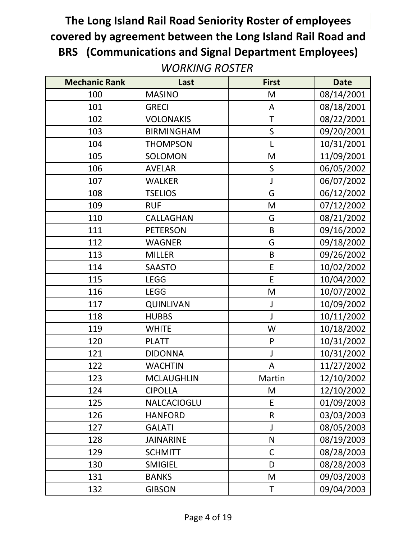| <b>Mechanic Rank</b> | Last              | <b>First</b>                                                                                               | <b>Date</b> |
|----------------------|-------------------|------------------------------------------------------------------------------------------------------------|-------------|
| 100                  | <b>MASINO</b>     | M                                                                                                          | 08/14/2001  |
| 101                  | <b>GRECI</b>      | A                                                                                                          | 08/18/2001  |
| 102                  | <b>VOLONAKIS</b>  | T                                                                                                          | 08/22/2001  |
| 103                  | <b>BIRMINGHAM</b> | $\mathsf{S}$                                                                                               | 09/20/2001  |
| 104                  | <b>THOMPSON</b>   | L                                                                                                          | 10/31/2001  |
| 105                  | SOLOMON           | M                                                                                                          | 11/09/2001  |
| 106                  | <b>AVELAR</b>     | S                                                                                                          | 06/05/2002  |
| 107                  | <b>WALKER</b>     | J                                                                                                          | 06/07/2002  |
| 108                  | <b>TSELIOS</b>    | G                                                                                                          | 06/12/2002  |
| 109                  | <b>RUF</b>        | M                                                                                                          | 07/12/2002  |
| 110                  | CALLAGHAN         | G                                                                                                          | 08/21/2002  |
| 111                  | <b>PETERSON</b>   | B                                                                                                          | 09/16/2002  |
| 112                  | <b>WAGNER</b>     | G                                                                                                          | 09/18/2002  |
| 113                  | <b>MILLER</b>     | B                                                                                                          | 09/26/2002  |
| 114                  | <b>SAASTO</b>     | E                                                                                                          | 10/02/2002  |
| 115                  | <b>LEGG</b>       | E                                                                                                          | 10/04/2002  |
| 116                  | <b>LEGG</b>       | $\mathsf{M}% _{T}=\mathsf{M}_{T}\!\left( a,b\right) ,\ \mathsf{M}_{T}=\mathsf{M}_{T}\!\left( a,b\right) ,$ | 10/07/2002  |
| 117                  | <b>QUINLIVAN</b>  | $\mathsf J$                                                                                                | 10/09/2002  |
| 118                  | <b>HUBBS</b>      | $\mathsf{J}$                                                                                               | 10/11/2002  |
| 119                  | <b>WHITE</b>      | W                                                                                                          | 10/18/2002  |
| 120                  | <b>PLATT</b>      | P                                                                                                          | 10/31/2002  |
| 121                  | <b>DIDONNA</b>    | J                                                                                                          | 10/31/2002  |
| 122                  | <b>WACHTIN</b>    | A                                                                                                          | 11/27/2002  |
| 123                  | <b>MCLAUGHLIN</b> | Martin                                                                                                     | 12/10/2002  |
| 124                  | <b>CIPOLLA</b>    | M                                                                                                          | 12/10/2002  |
| 125                  | NALCACIOGLU       | E                                                                                                          | 01/09/2003  |
| 126                  | <b>HANFORD</b>    | $\mathsf R$                                                                                                | 03/03/2003  |
| 127                  | <b>GALATI</b>     | J                                                                                                          | 08/05/2003  |
| 128                  | <b>JAINARINE</b>  | N                                                                                                          | 08/19/2003  |
| 129                  | <b>SCHMITT</b>    | $\mathsf C$                                                                                                | 08/28/2003  |
| 130                  | <b>SMIGIEL</b>    | D                                                                                                          | 08/28/2003  |
| 131                  | <b>BANKS</b>      | M                                                                                                          | 09/03/2003  |
| 132                  | <b>GIBSON</b>     | Τ                                                                                                          | 09/04/2003  |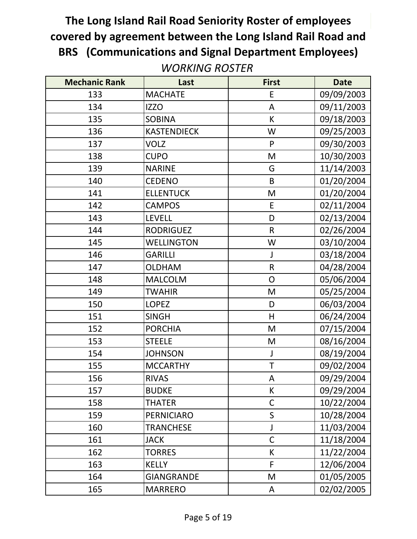| <b>Mechanic Rank</b> | Last               | <b>First</b>   | <b>Date</b> |
|----------------------|--------------------|----------------|-------------|
| 133                  | <b>MACHATE</b>     | E              | 09/09/2003  |
| 134                  | <b>IZZO</b>        | A              | 09/11/2003  |
| 135                  | <b>SOBINA</b>      | К              | 09/18/2003  |
| 136                  | <b>KASTENDIECK</b> | W              | 09/25/2003  |
| 137                  | <b>VOLZ</b>        | P              | 09/30/2003  |
| 138                  | <b>CUPO</b>        | M              | 10/30/2003  |
| 139                  | <b>NARINE</b>      | G              | 11/14/2003  |
| 140                  | <b>CEDENO</b>      | B              | 01/20/2004  |
| 141                  | <b>ELLENTUCK</b>   | M              | 01/20/2004  |
| 142                  | <b>CAMPOS</b>      | E              | 02/11/2004  |
| 143                  | <b>LEVELL</b>      | D              | 02/13/2004  |
| 144                  | <b>RODRIGUEZ</b>   | $\mathsf{R}$   | 02/26/2004  |
| 145                  | <b>WELLINGTON</b>  | W              | 03/10/2004  |
| 146                  | <b>GARILLI</b>     | J              | 03/18/2004  |
| 147                  | <b>OLDHAM</b>      | $\mathsf R$    | 04/28/2004  |
| 148                  | <b>MALCOLM</b>     | $\overline{O}$ | 05/06/2004  |
| 149                  | <b>TWAHIR</b>      | M              | 05/25/2004  |
| 150                  | <b>LOPEZ</b>       | D              | 06/03/2004  |
| 151                  | <b>SINGH</b>       | H              | 06/24/2004  |
| 152                  | <b>PORCHIA</b>     | M              | 07/15/2004  |
| 153                  | <b>STEELE</b>      | M              | 08/16/2004  |
| 154                  | <b>JOHNSON</b>     | J              | 08/19/2004  |
| 155                  | <b>MCCARTHY</b>    | T              | 09/02/2004  |
| 156                  | <b>RIVAS</b>       | A              | 09/29/2004  |
| 157                  | <b>BUDKE</b>       | К              | 09/29/2004  |
| 158                  | <b>THATER</b>      | $\mathsf C$    | 10/22/2004  |
| 159                  | <b>PERNICIARO</b>  | $\sf S$        | 10/28/2004  |
| 160                  | <b>TRANCHESE</b>   | J              | 11/03/2004  |
| 161                  | <b>JACK</b>        | $\mathsf{C}$   | 11/18/2004  |
| 162                  | <b>TORRES</b>      | К              | 11/22/2004  |
| 163                  | <b>KELLY</b>       | F              | 12/06/2004  |
| 164                  | <b>GIANGRANDE</b>  | M              | 01/05/2005  |
| 165                  | <b>MARRERO</b>     | A              | 02/02/2005  |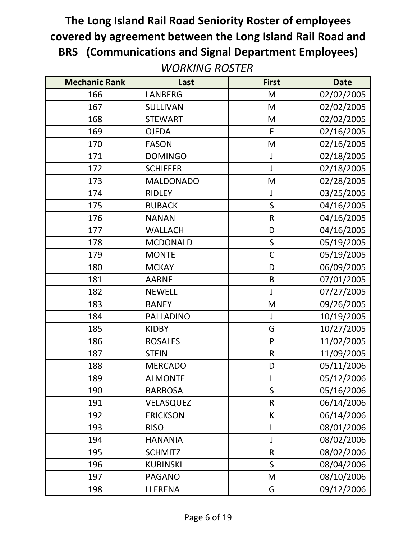| <b>Mechanic Rank</b> | Last             | <b>First</b> | <b>Date</b> |
|----------------------|------------------|--------------|-------------|
| 166                  | <b>LANBERG</b>   | M            | 02/02/2005  |
| 167                  | <b>SULLIVAN</b>  | M            | 02/02/2005  |
| 168                  | <b>STEWART</b>   | M            | 02/02/2005  |
| 169                  | <b>OJEDA</b>     | F            | 02/16/2005  |
| 170                  | <b>FASON</b>     | M            | 02/16/2005  |
| 171                  | <b>DOMINGO</b>   |              | 02/18/2005  |
| 172                  | <b>SCHIFFER</b>  | J            | 02/18/2005  |
| 173                  | <b>MALDONADO</b> | M            | 02/28/2005  |
| 174                  | <b>RIDLEY</b>    | J            | 03/25/2005  |
| 175                  | <b>BUBACK</b>    | S            | 04/16/2005  |
| 176                  | <b>NANAN</b>     | $\mathsf R$  | 04/16/2005  |
| 177                  | <b>WALLACH</b>   | D            | 04/16/2005  |
| 178                  | <b>MCDONALD</b>  | $\mathsf S$  | 05/19/2005  |
| 179                  | <b>MONTE</b>     | $\mathsf{C}$ | 05/19/2005  |
| 180                  | <b>MCKAY</b>     | D            | 06/09/2005  |
| 181                  | <b>AARNE</b>     | B            | 07/01/2005  |
| 182                  | <b>NEWELL</b>    | J            | 07/27/2005  |
| 183                  | <b>BANEY</b>     | M            | 09/26/2005  |
| 184                  | <b>PALLADINO</b> | J            | 10/19/2005  |
| 185                  | <b>KIDBY</b>     | G            | 10/27/2005  |
| 186                  | <b>ROSALES</b>   | P            | 11/02/2005  |
| 187                  | <b>STEIN</b>     | $\mathsf R$  | 11/09/2005  |
| 188                  | <b>MERCADO</b>   | D            | 05/11/2006  |
| 189                  | <b>ALMONTE</b>   | L            | 05/12/2006  |
| 190                  | <b>BARBOSA</b>   | S            | 05/16/2006  |
| 191                  | VELASQUEZ        | $\mathsf R$  | 06/14/2006  |
| 192                  | <b>ERICKSON</b>  | К            | 06/14/2006  |
| 193                  | <b>RISO</b>      | L            | 08/01/2006  |
| 194                  | <b>HANANIA</b>   |              | 08/02/2006  |
| 195                  | <b>SCHMITZ</b>   | $\mathsf R$  | 08/02/2006  |
| 196                  | <b>KUBINSKI</b>  | S            | 08/04/2006  |
| 197                  | <b>PAGANO</b>    | M            | 08/10/2006  |
| 198                  | LLERENA          | G            | 09/12/2006  |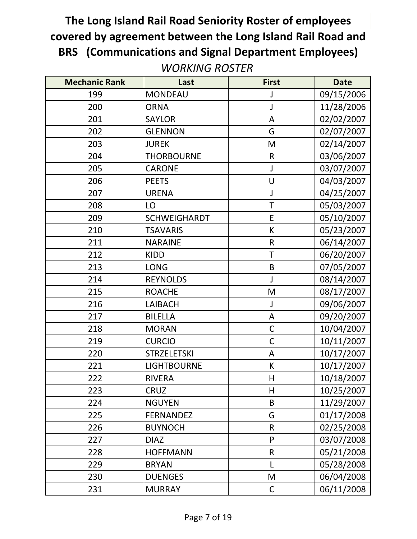| <b>Mechanic Rank</b> | Last                | <b>First</b> | <b>Date</b> |
|----------------------|---------------------|--------------|-------------|
| 199                  | <b>MONDEAU</b>      |              | 09/15/2006  |
| 200                  | <b>ORNA</b>         | J            | 11/28/2006  |
| 201                  | <b>SAYLOR</b>       | A            | 02/02/2007  |
| 202                  | <b>GLENNON</b>      | G            | 02/07/2007  |
| 203                  | <b>JUREK</b>        | M            | 02/14/2007  |
| 204                  | <b>THORBOURNE</b>   | $\mathsf{R}$ | 03/06/2007  |
| 205                  | <b>CARONE</b>       | J            | 03/07/2007  |
| 206                  | <b>PEETS</b>        | U            | 04/03/2007  |
| 207                  | <b>URENA</b>        | J            | 04/25/2007  |
| 208                  | LO                  | T            | 05/03/2007  |
| 209                  | <b>SCHWEIGHARDT</b> | E            | 05/10/2007  |
| 210                  | <b>TSAVARIS</b>     | K            | 05/23/2007  |
| 211                  | <b>NARAINE</b>      | ${\sf R}$    | 06/14/2007  |
| 212                  | <b>KIDD</b>         | T            | 06/20/2007  |
| 213                  | <b>LONG</b>         | B            | 07/05/2007  |
| 214                  | <b>REYNOLDS</b>     | $\mathsf{J}$ | 08/14/2007  |
| 215                  | <b>ROACHE</b>       | M            | 08/17/2007  |
| 216                  | LAIBACH             | $\mathsf J$  | 09/06/2007  |
| 217                  | <b>BILELLA</b>      | A            | 09/20/2007  |
| 218                  | <b>MORAN</b>        | $\mathsf C$  | 10/04/2007  |
| 219                  | <b>CURCIO</b>       | $\mathsf{C}$ | 10/11/2007  |
| 220                  | <b>STRZELETSKI</b>  | A            | 10/17/2007  |
| 221                  | <b>LIGHTBOURNE</b>  | К            | 10/17/2007  |
| 222                  | <b>RIVERA</b>       | H            | 10/18/2007  |
| 223                  | CRUZ                | H            | 10/25/2007  |
| 224                  | <b>NGUYEN</b>       | B            | 11/29/2007  |
| 225                  | <b>FERNANDEZ</b>    | G            | 01/17/2008  |
| 226                  | <b>BUYNOCH</b>      | $\mathsf R$  | 02/25/2008  |
| 227                  | <b>DIAZ</b>         | P            | 03/07/2008  |
| 228                  | <b>HOFFMANN</b>     | $\mathsf R$  | 05/21/2008  |
| 229                  | <b>BRYAN</b>        | L            | 05/28/2008  |
| 230                  | <b>DUENGES</b>      | M            | 06/04/2008  |
| 231                  | <b>MURRAY</b>       | $\mathsf C$  | 06/11/2008  |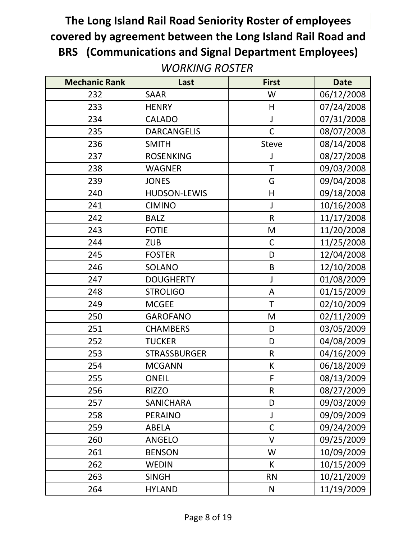| <b>Mechanic Rank</b> | Last                | <b>First</b> | <b>Date</b> |
|----------------------|---------------------|--------------|-------------|
| 232                  | <b>SAAR</b>         | W            | 06/12/2008  |
| 233                  | <b>HENRY</b>        | H            | 07/24/2008  |
| 234                  | <b>CALADO</b>       | J            | 07/31/2008  |
| 235                  | <b>DARCANGELIS</b>  | $\mathsf{C}$ | 08/07/2008  |
| 236                  | <b>SMITH</b>        | Steve        | 08/14/2008  |
| 237                  | <b>ROSENKING</b>    |              | 08/27/2008  |
| 238                  | <b>WAGNER</b>       | T            | 09/03/2008  |
| 239                  | <b>JONES</b>        | G            | 09/04/2008  |
| 240                  | <b>HUDSON-LEWIS</b> | H            | 09/18/2008  |
| 241                  | <b>CIMINO</b>       | J            | 10/16/2008  |
| 242                  | <b>BALZ</b>         | $\mathsf{R}$ | 11/17/2008  |
| 243                  | <b>FOTIE</b>        | M            | 11/20/2008  |
| 244                  | <b>ZUB</b>          | $\mathsf C$  | 11/25/2008  |
| 245                  | <b>FOSTER</b>       | D            | 12/04/2008  |
| 246                  | <b>SOLANO</b>       | B            | 12/10/2008  |
| 247                  | <b>DOUGHERTY</b>    | J            | 01/08/2009  |
| 248                  | <b>STROLIGO</b>     | A            | 01/15/2009  |
| 249                  | <b>MCGEE</b>        | T            | 02/10/2009  |
| 250                  | <b>GAROFANO</b>     | M            | 02/11/2009  |
| 251                  | <b>CHAMBERS</b>     | D            | 03/05/2009  |
| 252                  | <b>TUCKER</b>       | D            | 04/08/2009  |
| 253                  | <b>STRASSBURGER</b> | ${\sf R}$    | 04/16/2009  |
| 254                  | <b>MCGANN</b>       | К            | 06/18/2009  |
| 255                  | <b>ONEIL</b>        | F            | 08/13/2009  |
| 256                  | <b>RIZZO</b>        | R            | 08/27/2009  |
| 257                  | <b>SANICHARA</b>    | D            | 09/03/2009  |
| 258                  | <b>PERAINO</b>      | J            | 09/09/2009  |
| 259                  | <b>ABELA</b>        | $\mathsf{C}$ | 09/24/2009  |
| 260                  | <b>ANGELO</b>       | V            | 09/25/2009  |
| 261                  | <b>BENSON</b>       | W            | 10/09/2009  |
| 262                  | <b>WEDIN</b>        | K            | 10/15/2009  |
| 263                  | <b>SINGH</b>        | <b>RN</b>    | 10/21/2009  |
| 264                  | <b>HYLAND</b>       | $\mathsf{N}$ | 11/19/2009  |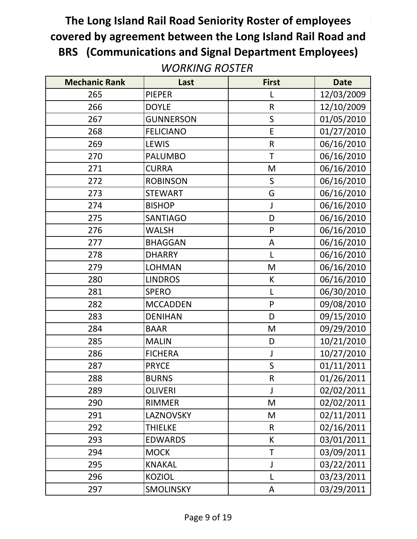| <b>Mechanic Rank</b> | Last             | <b>First</b> | <b>Date</b> |
|----------------------|------------------|--------------|-------------|
| 265                  | <b>PIEPER</b>    |              | 12/03/2009  |
| 266                  | <b>DOYLE</b>     | $\mathsf R$  | 12/10/2009  |
| 267                  | <b>GUNNERSON</b> | S            | 01/05/2010  |
| 268                  | <b>FELICIANO</b> | E            | 01/27/2010  |
| 269                  | <b>LEWIS</b>     | ${\sf R}$    | 06/16/2010  |
| 270                  | <b>PALUMBO</b>   | $\mathsf T$  | 06/16/2010  |
| 271                  | <b>CURRA</b>     | M            | 06/16/2010  |
| 272                  | <b>ROBINSON</b>  | $\mathsf S$  | 06/16/2010  |
| 273                  | <b>STEWART</b>   | G            | 06/16/2010  |
| 274                  | <b>BISHOP</b>    | J            | 06/16/2010  |
| 275                  | <b>SANTIAGO</b>  | D            | 06/16/2010  |
| 276                  | <b>WALSH</b>     | P            | 06/16/2010  |
| 277                  | <b>BHAGGAN</b>   | A            | 06/16/2010  |
| 278                  | <b>DHARRY</b>    | L            | 06/16/2010  |
| 279                  | <b>LOHMAN</b>    | M            | 06/16/2010  |
| 280                  | <b>LINDROS</b>   | К            | 06/16/2010  |
| 281                  | <b>SPERO</b>     | L            | 06/30/2010  |
| 282                  | <b>MCCADDEN</b>  | P            | 09/08/2010  |
| 283                  | <b>DENIHAN</b>   | D            | 09/15/2010  |
| 284                  | <b>BAAR</b>      | M            | 09/29/2010  |
| 285                  | <b>MALIN</b>     | D            | 10/21/2010  |
| 286                  | <b>FICHERA</b>   | J            | 10/27/2010  |
| 287                  | <b>PRYCE</b>     | $\sf S$      | 01/11/2011  |
| 288                  | <b>BURNS</b>     | $\mathsf R$  | 01/26/2011  |
| 289                  | <b>OLIVERI</b>   | J            | 02/02/2011  |
| 290                  | RIMMER           | M            | 02/02/2011  |
| 291                  | LAZNOVSKY        | M            | 02/11/2011  |
| 292                  | <b>THIELKE</b>   | $\mathsf R$  | 02/16/2011  |
| 293                  | <b>EDWARDS</b>   | К            | 03/01/2011  |
| 294                  | <b>MOCK</b>      | T            | 03/09/2011  |
| 295                  | <b>KNAKAL</b>    | J            | 03/22/2011  |
| 296                  | <b>KOZIOL</b>    | L            | 03/23/2011  |
| 297                  | <b>SMOLINSKY</b> | A            | 03/29/2011  |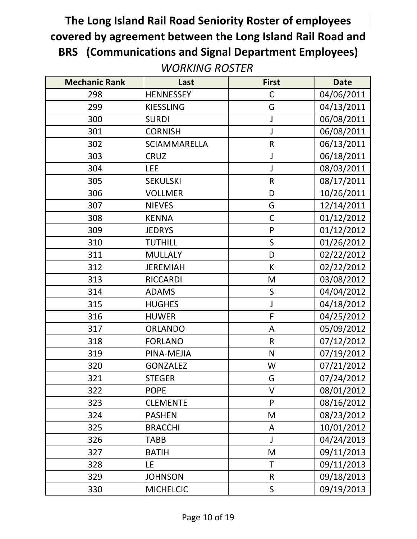| <b>Mechanic Rank</b> | Last             | <b>First</b> | <b>Date</b> |
|----------------------|------------------|--------------|-------------|
| 298                  | <b>HENNESSEY</b> | $\mathsf C$  | 04/06/2011  |
| 299                  | <b>KIESSLING</b> | G            | 04/13/2011  |
| 300                  | <b>SURDI</b>     |              | 06/08/2011  |
| 301                  | <b>CORNISH</b>   | J            | 06/08/2011  |
| 302                  | SCIAMMARELLA     | $\mathsf R$  | 06/13/2011  |
| 303                  | <b>CRUZ</b>      |              | 06/18/2011  |
| 304                  | <b>LEE</b>       |              | 08/03/2011  |
| 305                  | <b>SEKULSKI</b>  | R            | 08/17/2011  |
| 306                  | <b>VOLLMER</b>   | D            | 10/26/2011  |
| 307                  | <b>NIEVES</b>    | G            | 12/14/2011  |
| 308                  | <b>KENNA</b>     | $\mathsf C$  | 01/12/2012  |
| 309                  | <b>JEDRYS</b>    | P            | 01/12/2012  |
| 310                  | <b>TUTHILL</b>   | $\mathsf S$  | 01/26/2012  |
| 311                  | <b>MULLALY</b>   | D            | 02/22/2012  |
| 312                  | <b>JEREMIAH</b>  | K            | 02/22/2012  |
| 313                  | <b>RICCARDI</b>  | M            | 03/08/2012  |
| 314                  | <b>ADAMS</b>     | $\mathsf S$  | 04/04/2012  |
| 315                  | <b>HUGHES</b>    | $\mathsf J$  | 04/18/2012  |
| 316                  | <b>HUWER</b>     | $\mathsf F$  | 04/25/2012  |
| 317                  | <b>ORLANDO</b>   | A            | 05/09/2012  |
| 318                  | <b>FORLANO</b>   | $\mathsf R$  | 07/12/2012  |
| 319                  | PINA-MEJIA       | $\mathsf{N}$ | 07/19/2012  |
| 320                  | <b>GONZALEZ</b>  | W            | 07/21/2012  |
| 321                  | <b>STEGER</b>    | G            | 07/24/2012  |
| 322                  | <b>POPE</b>      | V            | 08/01/2012  |
| 323                  | <b>CLEMENTE</b>  | P            | 08/16/2012  |
| 324                  | <b>PASHEN</b>    | M            | 08/23/2012  |
| 325                  | <b>BRACCHI</b>   | A            | 10/01/2012  |
| 326                  | <b>TABB</b>      |              | 04/24/2013  |
| 327                  | <b>BATIH</b>     | M            | 09/11/2013  |
| 328                  | LE               | T            | 09/11/2013  |
| 329                  | <b>JOHNSON</b>   | R            | 09/18/2013  |
| 330                  | <b>MICHELCIC</b> | $\mathsf S$  | 09/19/2013  |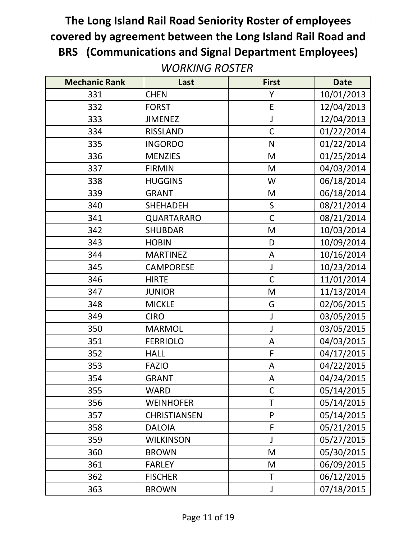| <b>Mechanic Rank</b> | Last                | <b>First</b> | <b>Date</b> |
|----------------------|---------------------|--------------|-------------|
| 331                  | <b>CHEN</b>         | Υ            | 10/01/2013  |
| 332                  | <b>FORST</b>        | E            | 12/04/2013  |
| 333                  | <b>JIMENEZ</b>      | J            | 12/04/2013  |
| 334                  | <b>RISSLAND</b>     | $\mathsf{C}$ | 01/22/2014  |
| 335                  | <b>INGORDO</b>      | $\mathsf{N}$ | 01/22/2014  |
| 336                  | <b>MENZIES</b>      | M            | 01/25/2014  |
| 337                  | <b>FIRMIN</b>       | M            | 04/03/2014  |
| 338                  | <b>HUGGINS</b>      | W            | 06/18/2014  |
| 339                  | <b>GRANT</b>        | M            | 06/18/2014  |
| 340                  | <b>SHEHADEH</b>     | $\sf S$      | 08/21/2014  |
| 341                  | QUARTARARO          | $\mathsf{C}$ | 08/21/2014  |
| 342                  | <b>SHUBDAR</b>      | M            | 10/03/2014  |
| 343                  | <b>HOBIN</b>        | D            | 10/09/2014  |
| 344                  | <b>MARTINEZ</b>     | A            | 10/16/2014  |
| 345                  | <b>CAMPORESE</b>    | J            | 10/23/2014  |
| 346                  | <b>HIRTE</b>        | $\mathsf{C}$ | 11/01/2014  |
| 347                  | <b>JUNIOR</b>       | M            | 11/13/2014  |
| 348                  | <b>MICKLE</b>       | G            | 02/06/2015  |
| 349                  | <b>CIRO</b>         | J            | 03/05/2015  |
| 350                  | <b>MARMOL</b>       | J            | 03/05/2015  |
| 351                  | <b>FERRIOLO</b>     | A            | 04/03/2015  |
| 352                  | <b>HALL</b>         | F            | 04/17/2015  |
| 353                  | <b>FAZIO</b>        | A            | 04/22/2015  |
| 354                  | <b>GRANT</b>        | A            | 04/24/2015  |
| 355                  | <b>WARD</b>         | $\mathsf{C}$ | 05/14/2015  |
| 356                  | <b>WEINHOFER</b>    | T            | 05/14/2015  |
| 357                  | <b>CHRISTIANSEN</b> | P            | 05/14/2015  |
| 358                  | <b>DALOIA</b>       | F            | 05/21/2015  |
| 359                  | <b>WILKINSON</b>    |              | 05/27/2015  |
| 360                  | <b>BROWN</b>        | M            | 05/30/2015  |
| 361                  | <b>FARLEY</b>       | M            | 06/09/2015  |
| 362                  | <b>FISCHER</b>      | Τ            | 06/12/2015  |
| 363                  | <b>BROWN</b>        | J            | 07/18/2015  |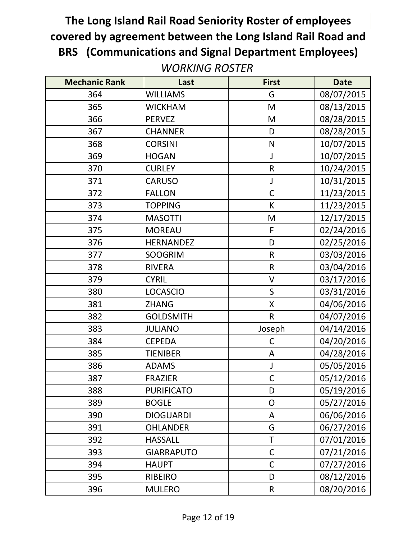| <b>Mechanic Rank</b> | Last              | <b>First</b> | <b>Date</b> |
|----------------------|-------------------|--------------|-------------|
| 364                  | <b>WILLIAMS</b>   | G            | 08/07/2015  |
| 365                  | <b>WICKHAM</b>    | M            | 08/13/2015  |
| 366                  | <b>PERVEZ</b>     | M            | 08/28/2015  |
| 367                  | <b>CHANNER</b>    | D            | 08/28/2015  |
| 368                  | <b>CORSINI</b>    | N            | 10/07/2015  |
| 369                  | <b>HOGAN</b>      |              | 10/07/2015  |
| 370                  | <b>CURLEY</b>     | $\mathsf R$  | 10/24/2015  |
| 371                  | <b>CARUSO</b>     | J            | 10/31/2015  |
| 372                  | <b>FALLON</b>     | $\mathsf{C}$ | 11/23/2015  |
| 373                  | <b>TOPPING</b>    | K            | 11/23/2015  |
| 374                  | <b>MASOTTI</b>    | M            | 12/17/2015  |
| 375                  | <b>MOREAU</b>     | F            | 02/24/2016  |
| 376                  | <b>HERNANDEZ</b>  | D            | 02/25/2016  |
| 377                  | <b>SOOGRIM</b>    | $\mathsf{R}$ | 03/03/2016  |
| 378                  | <b>RIVERA</b>     | $\mathsf{R}$ | 03/04/2016  |
| 379                  | <b>CYRIL</b>      | V            | 03/17/2016  |
| 380                  | <b>LOCASCIO</b>   | $\mathsf{S}$ | 03/31/2016  |
| 381                  | <b>ZHANG</b>      | X            | 04/06/2016  |
| 382                  | <b>GOLDSMITH</b>  | $\mathsf{R}$ | 04/07/2016  |
| 383                  | <b>JULIANO</b>    | Joseph       | 04/14/2016  |
| 384                  | <b>CEPEDA</b>     | C            | 04/20/2016  |
| 385                  | <b>TIENIBER</b>   | A            | 04/28/2016  |
| 386                  | <b>ADAMS</b>      | J            | 05/05/2016  |
| 387                  | <b>FRAZIER</b>    | $\mathsf{C}$ | 05/12/2016  |
| 388                  | <b>PURIFICATO</b> | D            | 05/19/2016  |
| 389                  | <b>BOGLE</b>      | $\mathsf{O}$ | 05/27/2016  |
| 390                  | <b>DIOGUARDI</b>  | A            | 06/06/2016  |
| 391                  | <b>OHLANDER</b>   | G            | 06/27/2016  |
| 392                  | <b>HASSALL</b>    | Τ            | 07/01/2016  |
| 393                  | <b>GIARRAPUTO</b> | $\mathsf{C}$ | 07/21/2016  |
| 394                  | <b>HAUPT</b>      | $\mathsf{C}$ | 07/27/2016  |
| 395                  | <b>RIBEIRO</b>    | D            | 08/12/2016  |
| 396                  | <b>MULERO</b>     | R            | 08/20/2016  |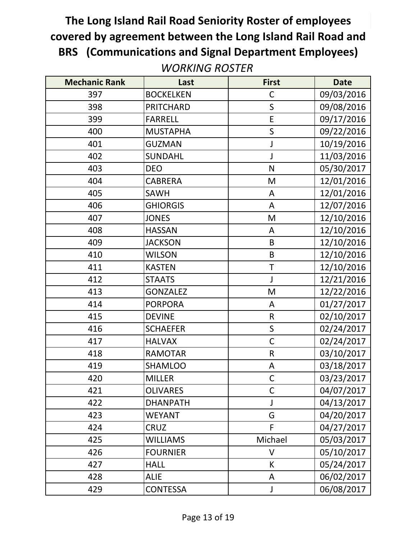| <b>Mechanic Rank</b> | Last             | <b>First</b> | <b>Date</b> |
|----------------------|------------------|--------------|-------------|
| 397                  | <b>BOCKELKEN</b> | $\mathsf{C}$ | 09/03/2016  |
| 398                  | <b>PRITCHARD</b> | S            | 09/08/2016  |
| 399                  | <b>FARRELL</b>   | E            | 09/17/2016  |
| 400                  | <b>MUSTAPHA</b>  | S            | 09/22/2016  |
| 401                  | <b>GUZMAN</b>    | J            | 10/19/2016  |
| 402                  | <b>SUNDAHL</b>   | J            | 11/03/2016  |
| 403                  | <b>DEO</b>       | N            | 05/30/2017  |
| 404                  | <b>CABRERA</b>   | M            | 12/01/2016  |
| 405                  | <b>SAWH</b>      | A            | 12/01/2016  |
| 406                  | <b>GHIORGIS</b>  | A            | 12/07/2016  |
| 407                  | <b>JONES</b>     | M            | 12/10/2016  |
| 408                  | <b>HASSAN</b>    | A            | 12/10/2016  |
| 409                  | <b>JACKSON</b>   | B            | 12/10/2016  |
| 410                  | <b>WILSON</b>    | B            | 12/10/2016  |
| 411                  | <b>KASTEN</b>    | T            | 12/10/2016  |
| 412                  | <b>STAATS</b>    | $\mathsf{J}$ | 12/21/2016  |
| 413                  | <b>GONZALEZ</b>  | M            | 12/22/2016  |
| 414                  | <b>PORPORA</b>   | A            | 01/27/2017  |
| 415                  | <b>DEVINE</b>    | $\mathsf R$  | 02/10/2017  |
| 416                  | <b>SCHAEFER</b>  | $\sf S$      | 02/24/2017  |
| 417                  | <b>HALVAX</b>    | $\mathsf{C}$ | 02/24/2017  |
| 418                  | <b>RAMOTAR</b>   | $\mathsf R$  | 03/10/2017  |
| 419                  | <b>SHAMLOO</b>   | A            | 03/18/2017  |
| 420                  | <b>MILLER</b>    | $\mathsf C$  | 03/23/2017  |
| 421                  | <b>OLIVARES</b>  | $\mathsf{C}$ | 04/07/2017  |
| 422                  | <b>DHANPATH</b>  | J            | 04/13/2017  |
| 423                  | <b>WEYANT</b>    | G            | 04/20/2017  |
| 424                  | <b>CRUZ</b>      | F            | 04/27/2017  |
| 425                  | <b>WILLIAMS</b>  | Michael      | 05/03/2017  |
| 426                  | <b>FOURNIER</b>  | V            | 05/10/2017  |
| 427                  | <b>HALL</b>      | К            | 05/24/2017  |
| 428                  | <b>ALIE</b>      | A            | 06/02/2017  |
| 429                  | CONTESSA         | J            | 06/08/2017  |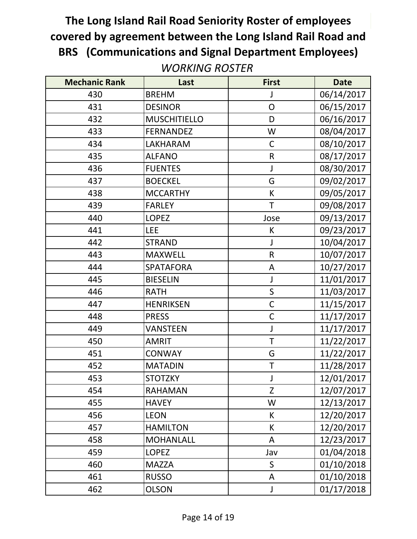| <b>Mechanic Rank</b> | Last                | <b>First</b> | <b>Date</b> |
|----------------------|---------------------|--------------|-------------|
| 430                  | <b>BREHM</b>        |              | 06/14/2017  |
| 431                  | <b>DESINOR</b>      | $\mathsf{O}$ | 06/15/2017  |
| 432                  | <b>MUSCHITIELLO</b> | D            | 06/16/2017  |
| 433                  | <b>FERNANDEZ</b>    | W            | 08/04/2017  |
| 434                  | LAKHARAM            | $\mathsf C$  | 08/10/2017  |
| 435                  | <b>ALFANO</b>       | $\mathsf R$  | 08/17/2017  |
| 436                  | <b>FUENTES</b>      | J            | 08/30/2017  |
| 437                  | <b>BOECKEL</b>      | G            | 09/02/2017  |
| 438                  | <b>MCCARTHY</b>     | К            | 09/05/2017  |
| 439                  | <b>FARLEY</b>       | Τ            | 09/08/2017  |
| 440                  | <b>LOPEZ</b>        | Jose         | 09/13/2017  |
| 441                  | <b>LEE</b>          | K            | 09/23/2017  |
| 442                  | <b>STRAND</b>       | J            | 10/04/2017  |
| 443                  | <b>MAXWELL</b>      | $\mathsf{R}$ | 10/07/2017  |
| 444                  | <b>SPATAFORA</b>    | A            | 10/27/2017  |
| 445                  | <b>BIESELIN</b>     | J            | 11/01/2017  |
| 446                  | <b>RATH</b>         | $\mathsf S$  | 11/03/2017  |
| 447                  | <b>HENRIKSEN</b>    | $\mathsf C$  | 11/15/2017  |
| 448                  | <b>PRESS</b>        | $\mathsf C$  | 11/17/2017  |
| 449                  | <b>VANSTEEN</b>     | J            | 11/17/2017  |
| 450                  | <b>AMRIT</b>        | T            | 11/22/2017  |
| 451                  | <b>CONWAY</b>       | G            | 11/22/2017  |
| 452                  | <b>MATADIN</b>      | Τ            | 11/28/2017  |
| 453                  | <b>STOTZKY</b>      | J            | 12/01/2017  |
| 454                  | <b>RAHAMAN</b>      | Z            | 12/07/2017  |
| 455                  | <b>HAVEY</b>        | W            | 12/13/2017  |
| 456                  | <b>LEON</b>         | K            | 12/20/2017  |
| 457                  | <b>HAMILTON</b>     | К            | 12/20/2017  |
| 458                  | <b>MOHANLALL</b>    | A            | 12/23/2017  |
| 459                  | <b>LOPEZ</b>        | Jav          | 01/04/2018  |
| 460                  | <b>MAZZA</b>        | S            | 01/10/2018  |
| 461                  | <b>RUSSO</b>        | A            | 01/10/2018  |
| 462                  | <b>OLSON</b>        | J            | 01/17/2018  |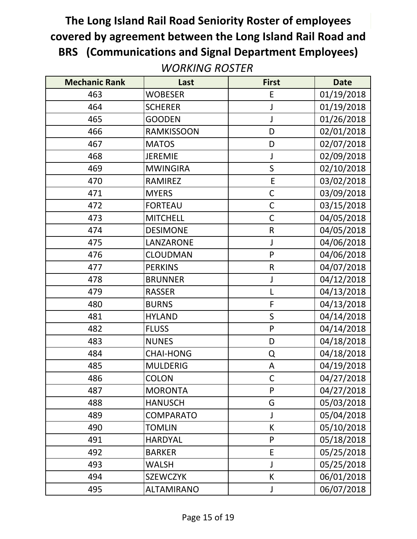| <b>Mechanic Rank</b> | Last              | <b>First</b> | <b>Date</b> |
|----------------------|-------------------|--------------|-------------|
| 463                  | <b>WOBESER</b>    | E            | 01/19/2018  |
| 464                  | <b>SCHERER</b>    |              | 01/19/2018  |
| 465                  | <b>GOODEN</b>     |              | 01/26/2018  |
| 466                  | <b>RAMKISSOON</b> | D            | 02/01/2018  |
| 467                  | <b>MATOS</b>      | D            | 02/07/2018  |
| 468                  | <b>JEREMIE</b>    |              | 02/09/2018  |
| 469                  | <b>MWINGIRA</b>   | S            | 02/10/2018  |
| 470                  | <b>RAMIREZ</b>    | E            | 03/02/2018  |
| 471                  | <b>MYERS</b>      | $\mathsf C$  | 03/09/2018  |
| 472                  | <b>FORTEAU</b>    | $\mathsf{C}$ | 03/15/2018  |
| 473                  | <b>MITCHELL</b>   | $\mathsf{C}$ | 04/05/2018  |
| 474                  | <b>DESIMONE</b>   | $\mathsf R$  | 04/05/2018  |
| 475                  | LANZARONE         | J            | 04/06/2018  |
| 476                  | <b>CLOUDMAN</b>   | P            | 04/06/2018  |
| 477                  | <b>PERKINS</b>    | $\mathsf R$  | 04/07/2018  |
| 478                  | <b>BRUNNER</b>    | J            | 04/12/2018  |
| 479                  | <b>RASSER</b>     | L            | 04/13/2018  |
| 480                  | <b>BURNS</b>      | F            | 04/13/2018  |
| 481                  | <b>HYLAND</b>     | $\mathsf S$  | 04/14/2018  |
| 482                  | <b>FLUSS</b>      | $\mathsf{P}$ | 04/14/2018  |
| 483                  | <b>NUNES</b>      | D            | 04/18/2018  |
| 484                  | <b>CHAI-HONG</b>  | Q            | 04/18/2018  |
| 485                  | <b>MULDERIG</b>   | A            | 04/19/2018  |
| 486                  | <b>COLON</b>      | $\mathsf C$  | 04/27/2018  |
| 487                  | <b>MORONTA</b>    | P            | 04/27/2018  |
| 488                  | <b>HANUSCH</b>    | G            | 05/03/2018  |
| 489                  | <b>COMPARATO</b>  | J            | 05/04/2018  |
| 490                  | <b>TOMLIN</b>     | К            | 05/10/2018  |
| 491                  | <b>HARDYAL</b>    | $\mathsf{P}$ | 05/18/2018  |
| 492                  | <b>BARKER</b>     | E            | 05/25/2018  |
| 493                  | <b>WALSH</b>      |              | 05/25/2018  |
| 494                  | <b>SZEWCZYK</b>   | K            | 06/01/2018  |
| 495                  | <b>ALTAMIRANO</b> | J            | 06/07/2018  |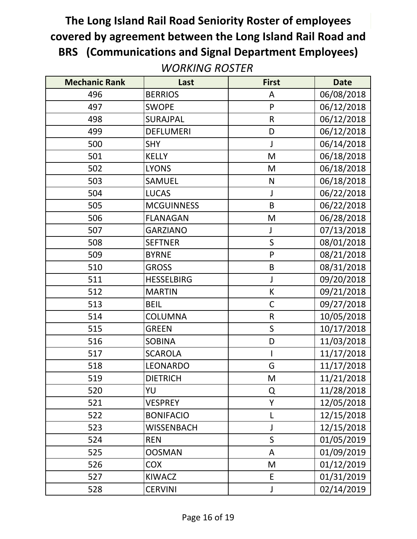| <b>Mechanic Rank</b> | Last              | <b>First</b> | <b>Date</b> |
|----------------------|-------------------|--------------|-------------|
| 496                  | <b>BERRIOS</b>    | A            | 06/08/2018  |
| 497                  | <b>SWOPE</b>      | P            | 06/12/2018  |
| 498                  | <b>SURAJPAL</b>   | $\mathsf R$  | 06/12/2018  |
| 499                  | <b>DEFLUMERI</b>  | D            | 06/12/2018  |
| 500                  | <b>SHY</b>        | J            | 06/14/2018  |
| 501                  | <b>KELLY</b>      | M            | 06/18/2018  |
| 502                  | <b>LYONS</b>      | M            | 06/18/2018  |
| 503                  | <b>SAMUEL</b>     | N            | 06/18/2018  |
| 504                  | <b>LUCAS</b>      | J            | 06/22/2018  |
| 505                  | <b>MCGUINNESS</b> | B            | 06/22/2018  |
| 506                  | <b>FLANAGAN</b>   | M            | 06/28/2018  |
| 507                  | <b>GARZIANO</b>   | J            | 07/13/2018  |
| 508                  | <b>SEFTNER</b>    | $\mathsf S$  | 08/01/2018  |
| 509                  | <b>BYRNE</b>      | P            | 08/21/2018  |
| 510                  | <b>GROSS</b>      | B            | 08/31/2018  |
| 511                  | <b>HESSELBIRG</b> | $\mathsf J$  | 09/20/2018  |
| 512                  | <b>MARTIN</b>     | К            | 09/21/2018  |
| 513                  | <b>BEIL</b>       | $\mathsf C$  | 09/27/2018  |
| 514                  | <b>COLUMNA</b>    | $\mathsf R$  | 10/05/2018  |
| 515                  | <b>GREEN</b>      | $\mathsf S$  | 10/17/2018  |
| 516                  | <b>SOBINA</b>     | D            | 11/03/2018  |
| 517                  | <b>SCAROLA</b>    |              | 11/17/2018  |
| 518                  | LEONARDO          | G            | 11/17/2018  |
| 519                  | <b>DIETRICH</b>   | M            | 11/21/2018  |
| 520                  | YU                | Q            | 11/28/2018  |
| 521                  | <b>VESPREY</b>    | Υ            | 12/05/2018  |
| 522                  | <b>BONIFACIO</b>  | L            | 12/15/2018  |
| 523                  | <b>WISSENBACH</b> | J            | 12/15/2018  |
| 524                  | <b>REN</b>        | $\mathsf{S}$ | 01/05/2019  |
| 525                  | <b>OOSMAN</b>     | A            | 01/09/2019  |
| 526                  | <b>COX</b>        | M            | 01/12/2019  |
| 527                  | <b>KIWACZ</b>     | E            | 01/31/2019  |
| 528                  | <b>CERVINI</b>    | J            | 02/14/2019  |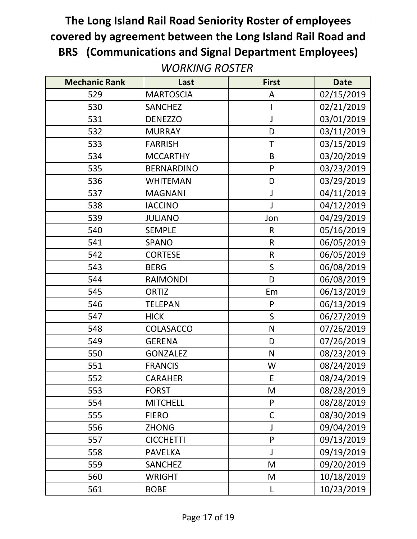| <b>Mechanic Rank</b> | Last              | <b>First</b> | <b>Date</b> |
|----------------------|-------------------|--------------|-------------|
| 529                  | <b>MARTOSCIA</b>  | A            | 02/15/2019  |
| 530                  | <b>SANCHEZ</b>    |              | 02/21/2019  |
| 531                  | <b>DENEZZO</b>    | J            | 03/01/2019  |
| 532                  | <b>MURRAY</b>     | D            | 03/11/2019  |
| 533                  | <b>FARRISH</b>    | T            | 03/15/2019  |
| 534                  | <b>MCCARTHY</b>   | B            | 03/20/2019  |
| 535                  | <b>BERNARDINO</b> | P            | 03/23/2019  |
| 536                  | <b>WHITEMAN</b>   | D            | 03/29/2019  |
| 537                  | <b>MAGNANI</b>    | J            | 04/11/2019  |
| 538                  | <b>IACCINO</b>    | J            | 04/12/2019  |
| 539                  | <b>JULIANO</b>    | Jon          | 04/29/2019  |
| 540                  | <b>SEMPLE</b>     | R            | 05/16/2019  |
| 541                  | <b>SPANO</b>      | $\mathsf{R}$ | 06/05/2019  |
| 542                  | <b>CORTESE</b>    | $\mathsf R$  | 06/05/2019  |
| 543                  | <b>BERG</b>       | $\mathsf S$  | 06/08/2019  |
| 544                  | <b>RAIMONDI</b>   | D            | 06/08/2019  |
| 545                  | <b>ORTIZ</b>      | Em           | 06/13/2019  |
| 546                  | <b>TELEPAN</b>    | P            | 06/13/2019  |
| 547                  | <b>HICK</b>       | $\mathsf S$  | 06/27/2019  |
| 548                  | COLASACCO         | ${\sf N}$    | 07/26/2019  |
| 549                  | <b>GERENA</b>     | D            | 07/26/2019  |
| 550                  | <b>GONZALEZ</b>   | $\mathsf{N}$ | 08/23/2019  |
| 551                  | <b>FRANCIS</b>    | W            | 08/24/2019  |
| 552                  | <b>CARAHER</b>    | E            | 08/24/2019  |
| 553                  | <b>FORST</b>      | M            | 08/28/2019  |
| 554                  | <b>MITCHELL</b>   | P            | 08/28/2019  |
| 555                  | <b>FIERO</b>      | $\mathsf{C}$ | 08/30/2019  |
| 556                  | <b>ZHONG</b>      | J            | 09/04/2019  |
| 557                  | <b>CICCHETTI</b>  | $\mathsf{P}$ | 09/13/2019  |
| 558                  | <b>PAVELKA</b>    | J            | 09/19/2019  |
| 559                  | <b>SANCHEZ</b>    | M            | 09/20/2019  |
| 560                  | <b>WRIGHT</b>     | M            | 10/18/2019  |
| 561                  | <b>BOBE</b>       | L            | 10/23/2019  |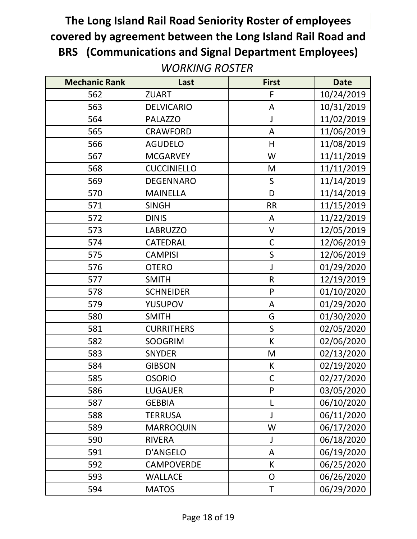| <b>Mechanic Rank</b> | Last               | <b>First</b> | <b>Date</b> |
|----------------------|--------------------|--------------|-------------|
| 562                  | <b>ZUART</b>       | $\mathsf F$  | 10/24/2019  |
| 563                  | <b>DELVICARIO</b>  | A            | 10/31/2019  |
| 564                  | <b>PALAZZO</b>     | J            | 11/02/2019  |
| 565                  | <b>CRAWFORD</b>    | A            | 11/06/2019  |
| 566                  | <b>AGUDELO</b>     | H            | 11/08/2019  |
| 567                  | <b>MCGARVEY</b>    | W            | 11/11/2019  |
| 568                  | <b>CUCCINIELLO</b> | M            | 11/11/2019  |
| 569                  | <b>DEGENNARO</b>   | $\mathsf{S}$ | 11/14/2019  |
| 570                  | <b>MAINELLA</b>    | D            | 11/14/2019  |
| 571                  | <b>SINGH</b>       | <b>RR</b>    | 11/15/2019  |
| 572                  | <b>DINIS</b>       | A            | 11/22/2019  |
| 573                  | <b>LABRUZZO</b>    | $\vee$       | 12/05/2019  |
| 574                  | CATEDRAL           | $\mathsf C$  | 12/06/2019  |
| 575                  | <b>CAMPISI</b>     | $\mathsf S$  | 12/06/2019  |
| 576                  | <b>OTERO</b>       | J            | 01/29/2020  |
| 577                  | <b>SMITH</b>       | $\mathsf{R}$ | 12/19/2019  |
| 578                  | <b>SCHNEIDER</b>   | P            | 01/10/2020  |
| 579                  | <b>YUSUPOV</b>     | A            | 01/29/2020  |
| 580                  | <b>SMITH</b>       | G            | 01/30/2020  |
| 581                  | <b>CURRITHERS</b>  | $\mathsf{S}$ | 02/05/2020  |
| 582                  | <b>SOOGRIM</b>     | К            | 02/06/2020  |
| 583                  | <b>SNYDER</b>      | M            | 02/13/2020  |
| 584                  | <b>GIBSON</b>      | К            | 02/19/2020  |
| 585                  | <b>OSORIO</b>      | $\mathsf C$  | 02/27/2020  |
| 586                  | <b>LUGAUER</b>     | P            | 03/05/2020  |
| 587                  | <b>GEBBIA</b>      | L            | 06/10/2020  |
| 588                  | <b>TERRUSA</b>     | J            | 06/11/2020  |
| 589                  | <b>MARROQUIN</b>   | W            | 06/17/2020  |
| 590                  | <b>RIVERA</b>      |              | 06/18/2020  |
| 591                  | <b>D'ANGELO</b>    | A            | 06/19/2020  |
| 592                  | CAMPOVERDE         | К            | 06/25/2020  |
| 593                  | <b>WALLACE</b>     | 0            | 06/26/2020  |
| 594                  | <b>MATOS</b>       | Τ            | 06/29/2020  |